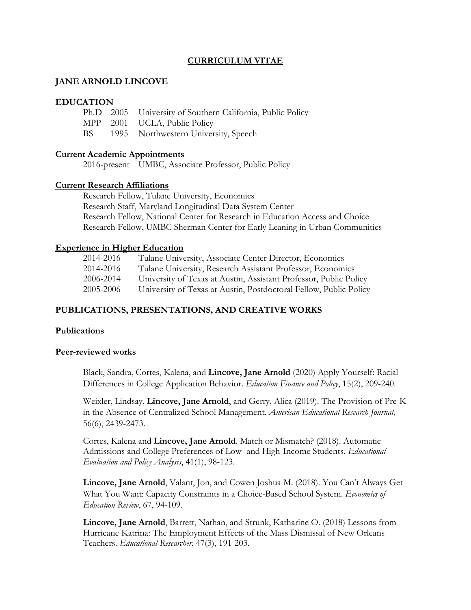# **CURRICULUM VITAE**

### **JANE ARNOLD LINCOVE**

#### **EDUCATION**

|  | Ph.D 2005 University of Southern California, Public Policy |
|--|------------------------------------------------------------|
|  | MPP 2001 UCLA, Public Policy                               |
|  | BS 1995 Northwestern University, Speech                    |

### **Current Academic Appointments**

2016-present UMBC, Associate Professor, Public Policy

#### **Current Research Affiliations**

Research Fellow, Tulane University, Economics Research Staff, Maryland Longitudinal Data System Center Research Fellow, National Center for Research in Education Access and Choice Research Fellow, UMBC Sherman Center for Early Leaning in Urban Communities

#### **Experience in Higher Education**

| 2014-2016 | Tulane University, Associate Center Director, Economics           |
|-----------|-------------------------------------------------------------------|
| 2014-2016 | Tulane University, Research Assistant Professor, Economics        |
| 2006-2014 | University of Texas at Austin, Assistant Professor, Public Policy |
| 2005-2006 | University of Texas at Austin, Postdoctoral Fellow, Public Policy |

## **PUBLICATIONS, PRESENTATIONS, AND CREATIVE WORKS**

#### **Publications**

#### **Peer-reviewed works**

Black, Sandra, Cortes, Kalena, and **Lincove, Jane Arnold** (2020) Apply Yourself: Racial Differences in College Application Behavior. *Education Finance and Policy*, 15(2), 209-240.

Weixler, Lindsay, **Lincove, Jane Arnold**, and Gerry, Alica (2019). The Provision of Pre-K in the Absence of Centralized School Management. *American Educational Research Journal*, 56(6), 2439-2473.

Cortes, Kalena and **Lincove, Jane Arnold**. Match or Mismatch? (2018). Automatic Admissions and College Preferences of Low- and High-Income Students. *Educational Evaluation and Policy Analysis*, 41(1), 98-123.

**Lincove, Jane Arnold**, Valant, Jon, and Cowen Joshua M. (2018). You Can't Always Get What You Want: Capacity Constraints in a Choice-Based School System. *Economics of Education Review*, 67, 94-109.

**Lincove, Jane Arnold**, Barrett, Nathan, and Strunk, Katharine O. (2018) Lessons from Hurricane Katrina: The Employment Effects of the Mass Dismissal of New Orleans Teachers. *Educational Researcher*, 47(3), 191-203.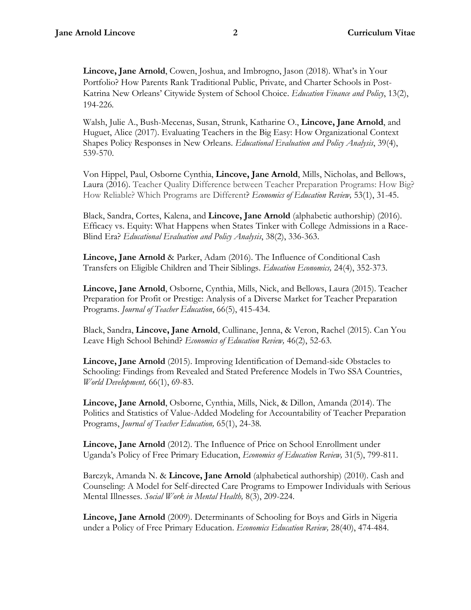**Lincove, Jane Arnold**, Cowen, Joshua, and Imbrogno, Jason (2018). What's in Your Portfolio? How Parents Rank Traditional Public, Private, and Charter Schools in Post-Katrina New Orleans' Citywide System of School Choice. *Education Finance and Policy*, 13(2), 194-226*.*

Walsh, Julie A., Bush-Mecenas, Susan, Strunk, Katharine O., **Lincove, Jane Arnold**, and Huguet, Alice (2017). Evaluating Teachers in the Big Easy: How Organizational Context Shapes Policy Responses in New Orleans. *Educational Evaluation and Policy Analysis*, 39(4), 539-570.

Von Hippel, Paul, Osborne Cynthia, **Lincove, Jane Arnold**, Mills, Nicholas, and Bellows, Laura (2016). Teacher Quality Difference between Teacher Preparation Programs: How Big? How Reliable? Which Programs are Different? *Economics of Education Review,* 53(1), 31-45.

Black, Sandra, Cortes, Kalena, and **Lincove, Jane Arnold** (alphabetic authorship) (2016). Efficacy vs. Equity: What Happens when States Tinker with College Admissions in a Race-Blind Era? *Educational Evaluation and Policy Analysis*, 38(2), 336-363.

**Lincove, Jane Arnold** & Parker, Adam (2016). The Influence of Conditional Cash Transfers on Eligible Children and Their Siblings. *Education Economics,* 24(4), 352-373.

**Lincove, Jane Arnold**, Osborne, Cynthia, Mills, Nick, and Bellows, Laura (2015). Teacher Preparation for Profit or Prestige: Analysis of a Diverse Market for Teacher Preparation Programs. *Journal of Teacher Education*, 66(5), 415-434.

Black, Sandra, **Lincove, Jane Arnold**, Cullinane, Jenna, & Veron, Rachel (2015). Can You Leave High School Behind? *Economics of Education Review,* 46(2), 52-63*.*

**Lincove, Jane Arnold** (2015). Improving Identification of Demand-side Obstacles to Schooling: Findings from Revealed and Stated Preference Models in Two SSA Countries, *World Development,* 66(1), 69-83.

**Lincove, Jane Arnold**, Osborne, Cynthia, Mills, Nick, & Dillon, Amanda (2014). The Politics and Statistics of Value-Added Modeling for Accountability of Teacher Preparation Programs, *Journal of Teacher Education,* 65(1), 24-38*.*

**Lincove, Jane Arnold** (2012). The Influence of Price on School Enrollment under Uganda's Policy of Free Primary Education, *Economics of Education Review,* 31(5), 799-811.

Barczyk, Amanda N. & **Lincove, Jane Arnold** (alphabetical authorship) (2010). Cash and Counseling: A Model for Self-directed Care Programs to Empower Individuals with Serious Mental Illnesses. *Social Work in Mental Health,* 8(3), 209-224.

**Lincove, Jane Arnold** (2009). Determinants of Schooling for Boys and Girls in Nigeria under a Policy of Free Primary Education. *Economics Education Review,* 28(40), 474-484.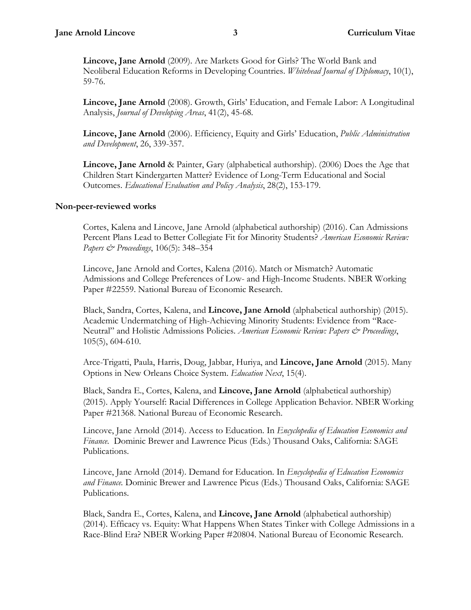**Lincove, Jane Arnold** (2009). Are Markets Good for Girls? The World Bank and Neoliberal Education Reforms in Developing Countries. *Whitehead Journal of Diplomacy*, 10(1), 59-76.

**Lincove, Jane Arnold** (2008). Growth, Girls' Education, and Female Labor: A Longitudinal Analysis, *Journal of Developing Areas*, 41(2), 45-68*.*

**Lincove, Jane Arnold** (2006). Efficiency, Equity and Girls' Education, *Public Administration and Development*, 26, 339-357.

**Lincove, Jane Arnold** & Painter, Gary (alphabetical authorship). (2006) Does the Age that Children Start Kindergarten Matter? Evidence of Long-Term Educational and Social Outcomes. *Educational Evaluation and Policy Analysis*, 28(2), 153-179.

#### **Non-peer-reviewed works**

Cortes, Kalena and Lincove, Jane Arnold (alphabetical authorship) (2016). Can Admissions Percent Plans Lead to Better Collegiate Fit for Minority Students? *American Economic Review: Papers & Proceedings*, 106(5): 348–354

Lincove, Jane Arnold and Cortes, Kalena (2016). Match or Mismatch? Automatic Admissions and College Preferences of Low- and High-Income Students. NBER Working Paper #22559. National Bureau of Economic Research.

Black, Sandra, Cortes, Kalena, and **Lincove, Jane Arnold** (alphabetical authorship) (2015). Academic Undermatching of High-Achieving Minority Students: Evidence from "Race-Neutral" and Holistic Admissions Policies. *American Economic Review: Papers & Proceedings*, 105(5), 604-610.

Arce-Trigatti, Paula, Harris, Doug, Jabbar, Huriya, and **Lincove, Jane Arnold** (2015). Many Options in New Orleans Choice System. *Education Next*, 15(4).

Black, Sandra E., Cortes, Kalena, and **Lincove, Jane Arnold** (alphabetical authorship) (2015). Apply Yourself: Racial Differences in College Application Behavior. NBER Working Paper #21368. National Bureau of Economic Research.

Lincove, Jane Arnold (2014). Access to Education. In *Encyclopedia of Education Economics and Finance.* Dominic Brewer and Lawrence Picus (Eds.) Thousand Oaks, California: SAGE Publications.

Lincove, Jane Arnold (2014). Demand for Education. In *Encyclopedia of Education Economics and Finance.* Dominic Brewer and Lawrence Picus (Eds.) Thousand Oaks, California: SAGE Publications.

Black, Sandra E., Cortes, Kalena, and **Lincove, Jane Arnold** (alphabetical authorship) (2014). [Efficacy vs. Equity: What Happens When States Tinker with College Admissions in a](http://www.nber.org/papers/w20804)  [Race-Blind Era?](http://www.nber.org/papers/w20804) NBER Working Paper #20804. National Bureau of Economic Research.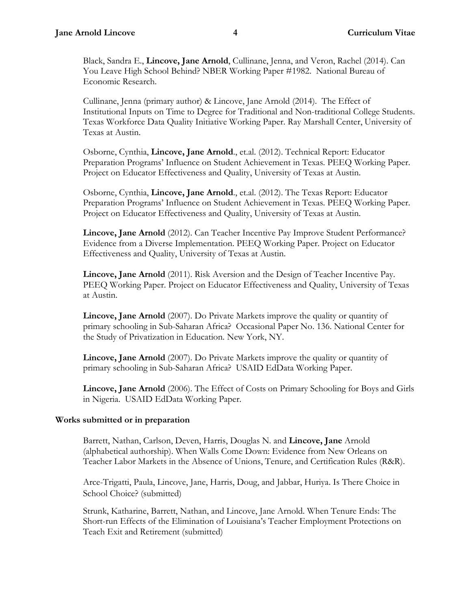Black, Sandra E., **Lincove, Jane Arnold**, Cullinane, Jenna, and Veron, Rachel (2014). Can You Leave High School Behind? NBER Working Paper #1982. National Bureau of Economic Research.

Cullinane, Jenna (primary author) & Lincove, Jane Arnold (2014). The Effect of Institutional Inputs on Time to Degree for Traditional and Non-traditional College Students. Texas Workforce Data Quality Initiative Working Paper. Ray Marshall Center, University of Texas at Austin.

Osborne, Cynthia, **Lincove, Jane Arnold**., et.al. (2012). Technical Report: Educator Preparation Programs' Influence on Student Achievement in Texas. PEEQ Working Paper. Project on Educator Effectiveness and Quality, University of Texas at Austin.

Osborne, Cynthia, **Lincove, Jane Arnold**., et.al. (2012). The Texas Report: Educator Preparation Programs' Influence on Student Achievement in Texas. PEEQ Working Paper. Project on Educator Effectiveness and Quality, University of Texas at Austin.

**Lincove, Jane Arnold** (2012). Can Teacher Incentive Pay Improve Student Performance? Evidence from a Diverse Implementation. PEEQ Working Paper. Project on Educator Effectiveness and Quality, University of Texas at Austin.

**Lincove, Jane Arnold** (2011). Risk Aversion and the Design of Teacher Incentive Pay. PEEQ Working Paper. Project on Educator Effectiveness and Quality, University of Texas at Austin.

**Lincove, Jane Arnold** (2007). Do Private Markets improve the quality or quantity of primary schooling in Sub-Saharan Africa? Occasional Paper No. 136. National Center for the Study of Privatization in Education. New York, NY.

**Lincove, Jane Arnold** (2007). Do Private Markets improve the quality or quantity of primary schooling in Sub-Saharan Africa? USAID EdData Working Paper.

**Lincove, Jane Arnold** (2006). The Effect of Costs on Primary Schooling for Boys and Girls in Nigeria. USAID EdData Working Paper.

# **Works submitted or in preparation**

Barrett, Nathan, Carlson, Deven, Harris, Douglas N. and **Lincove, Jane** Arnold (alphabetical authorship). When Walls Come Down: Evidence from New Orleans on Teacher Labor Markets in the Absence of Unions, Tenure, and Certification Rules (R&R).

Arce-Trigatti, Paula, Lincove, Jane, Harris, Doug, and Jabbar, Huriya. Is There Choice in School Choice? (submitted)

Strunk, Katharine, Barrett, Nathan, and Lincove, Jane Arnold. When Tenure Ends: The Short-run Effects of the Elimination of Louisiana's Teacher Employment Protections on Teach Exit and Retirement (submitted)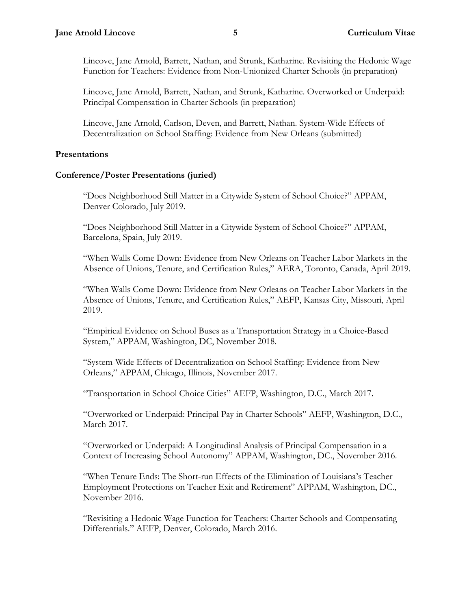Lincove, Jane Arnold, Barrett, Nathan, and Strunk, Katharine. Revisiting the Hedonic Wage Function for Teachers: Evidence from Non-Unionized Charter Schools (in preparation)

Lincove, Jane Arnold, Barrett, Nathan, and Strunk, Katharine. Overworked or Underpaid: Principal Compensation in Charter Schools (in preparation)

Lincove, Jane Arnold, Carlson, Deven, and Barrett, Nathan. System-Wide Effects of Decentralization on School Staffing: Evidence from New Orleans (submitted)

## **Presentations**

## **Conference/Poster Presentations (juried)**

"Does Neighborhood Still Matter in a Citywide System of School Choice?" APPAM, Denver Colorado, July 2019.

"Does Neighborhood Still Matter in a Citywide System of School Choice?" APPAM, Barcelona, Spain, July 2019.

"When Walls Come Down: Evidence from New Orleans on Teacher Labor Markets in the Absence of Unions, Tenure, and Certification Rules," AERA, Toronto, Canada, April 2019.

"When Walls Come Down: Evidence from New Orleans on Teacher Labor Markets in the Absence of Unions, Tenure, and Certification Rules," AEFP, Kansas City, Missouri, April 2019.

"Empirical Evidence on School Buses as a Transportation Strategy in a Choice-Based System," APPAM, Washington, DC, November 2018.

"System-Wide Effects of Decentralization on School Staffing: Evidence from New Orleans," APPAM, Chicago, Illinois, November 2017.

"Transportation in School Choice Cities" AEFP, Washington, D.C., March 2017.

"Overworked or Underpaid: Principal Pay in Charter Schools" AEFP, Washington, D.C., March 2017.

"Overworked or Underpaid: A Longitudinal Analysis of Principal Compensation in a Context of Increasing School Autonomy" APPAM, Washington, DC., November 2016.

"When Tenure Ends: The Short-run Effects of the Elimination of Louisiana's Teacher Employment Protections on Teacher Exit and Retirement" APPAM, Washington, DC., November 2016.

"Revisiting a Hedonic Wage Function for Teachers: Charter Schools and Compensating Differentials." AEFP, Denver, Colorado, March 2016.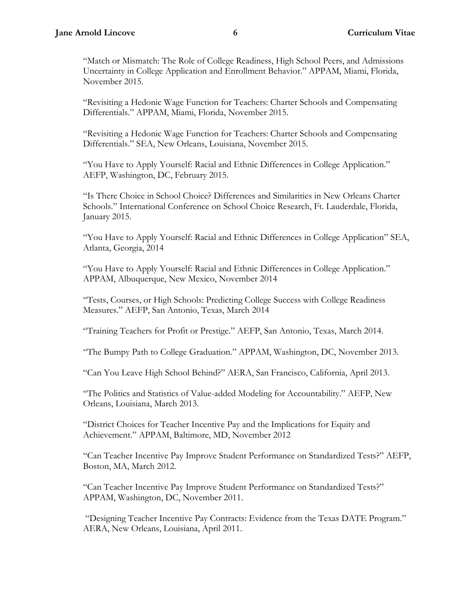"Match or Mismatch: The Role of College Readiness, High School Peers, and Admissions Uncertainty in College Application and Enrollment Behavior." APPAM, Miami, Florida, November 2015.

"Revisiting a Hedonic Wage Function for Teachers: Charter Schools and Compensating Differentials." APPAM, Miami, Florida, November 2015.

"Revisiting a Hedonic Wage Function for Teachers: Charter Schools and Compensating Differentials." SEA, New Orleans, Louisiana, November 2015.

"You Have to Apply Yourself: Racial and Ethnic Differences in College Application." AEFP, Washington, DC, February 2015.

"Is There Choice in School Choice? Differences and Similarities in New Orleans Charter Schools." International Conference on School Choice Research, Ft. Lauderdale, Florida, January 2015.

"You Have to Apply Yourself: Racial and Ethnic Differences in College Application" SEA, Atlanta, Georgia, 2014

"You Have to Apply Yourself: Racial and Ethnic Differences in College Application." APPAM, Albuquerque, New Mexico, November 2014

"Tests, Courses, or High Schools: Predicting College Success with College Readiness Measures." AEFP, San Antonio, Texas, March 2014

"Training Teachers for Profit or Prestige." AEFP, San Antonio, Texas, March 2014.

"The Bumpy Path to College Graduation." APPAM, Washington, DC, November 2013.

"Can You Leave High School Behind?" AERA, San Francisco, California, April 2013.

"The Politics and Statistics of Value-added Modeling for Accountability." AEFP, New Orleans, Louisiana, March 2013.

"District Choices for Teacher Incentive Pay and the Implications for Equity and Achievement." APPAM, Baltimore, MD, November 2012

"Can Teacher Incentive Pay Improve Student Performance on Standardized Tests?" AEFP, Boston, MA, March 2012.

"Can Teacher Incentive Pay Improve Student Performance on Standardized Tests?" APPAM, Washington, DC, November 2011.

"Designing Teacher Incentive Pay Contracts: Evidence from the Texas DATE Program." AERA, New Orleans, Louisiana, April 2011.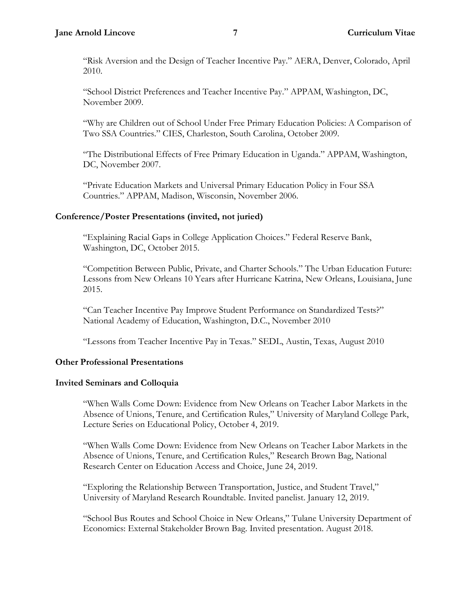"Risk Aversion and the Design of Teacher Incentive Pay." AERA, Denver, Colorado, April 2010.

"School District Preferences and Teacher Incentive Pay." APPAM, Washington, DC, November 2009.

"Why are Children out of School Under Free Primary Education Policies: A Comparison of Two SSA Countries." CIES, Charleston, South Carolina, October 2009.

"The Distributional Effects of Free Primary Education in Uganda." APPAM, Washington, DC, November 2007.

"Private Education Markets and Universal Primary Education Policy in Four SSA Countries." APPAM, Madison, Wisconsin, November 2006.

## **Conference/Poster Presentations (invited, not juried)**

"Explaining Racial Gaps in College Application Choices." Federal Reserve Bank, Washington, DC, October 2015.

"Competition Between Public, Private, and Charter Schools." The Urban Education Future: Lessons from New Orleans 10 Years after Hurricane Katrina, New Orleans, Louisiana, June 2015.

"Can Teacher Incentive Pay Improve Student Performance on Standardized Tests?" National Academy of Education, Washington, D.C., November 2010

"Lessons from Teacher Incentive Pay in Texas." SEDL, Austin, Texas, August 2010

# **Other Professional Presentations**

### **Invited Seminars and Colloquia**

"When Walls Come Down: Evidence from New Orleans on Teacher Labor Markets in the Absence of Unions, Tenure, and Certification Rules," University of Maryland College Park, Lecture Series on Educational Policy, October 4, 2019.

"When Walls Come Down: Evidence from New Orleans on Teacher Labor Markets in the Absence of Unions, Tenure, and Certification Rules," Research Brown Bag, National Research Center on Education Access and Choice, June 24, 2019.

"Exploring the Relationship Between Transportation, Justice, and Student Travel," University of Maryland Research Roundtable. Invited panelist. January 12, 2019.

"School Bus Routes and School Choice in New Orleans," Tulane University Department of Economics: External Stakeholder Brown Bag. Invited presentation. August 2018.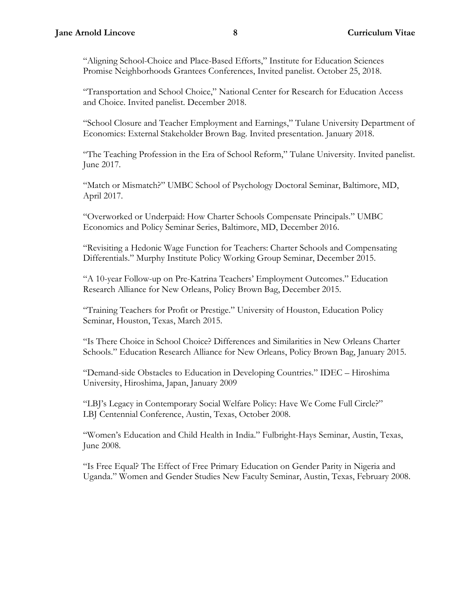"Aligning School-Choice and Place-Based Efforts," Institute for Education Sciences Promise Neighborhoods Grantees Conferences, Invited panelist. October 25, 2018.

"Transportation and School Choice," National Center for Research for Education Access and Choice. Invited panelist. December 2018.

"School Closure and Teacher Employment and Earnings," Tulane University Department of Economics: External Stakeholder Brown Bag. Invited presentation. January 2018.

"The Teaching Profession in the Era of School Reform," Tulane University. Invited panelist. June 2017.

"Match or Mismatch?" UMBC School of Psychology Doctoral Seminar, Baltimore, MD, April 2017.

"Overworked or Underpaid: How Charter Schools Compensate Principals." UMBC Economics and Policy Seminar Series, Baltimore, MD, December 2016.

"Revisiting a Hedonic Wage Function for Teachers: Charter Schools and Compensating Differentials." Murphy Institute Policy Working Group Seminar, December 2015.

"A 10-year Follow-up on Pre-Katrina Teachers' Employment Outcomes." Education Research Alliance for New Orleans, Policy Brown Bag, December 2015.

"Training Teachers for Profit or Prestige." University of Houston, Education Policy Seminar, Houston, Texas, March 2015.

"Is There Choice in School Choice? Differences and Similarities in New Orleans Charter Schools." Education Research Alliance for New Orleans, Policy Brown Bag, January 2015.

"Demand-side Obstacles to Education in Developing Countries." IDEC – Hiroshima University, Hiroshima, Japan, January 2009

"LBJ's Legacy in Contemporary Social Welfare Policy: Have We Come Full Circle?" LBJ Centennial Conference, Austin, Texas, October 2008.

"Women's Education and Child Health in India." Fulbright-Hays Seminar, Austin, Texas, June 2008.

"Is Free Equal? The Effect of Free Primary Education on Gender Parity in Nigeria and Uganda." Women and Gender Studies New Faculty Seminar, Austin, Texas, February 2008.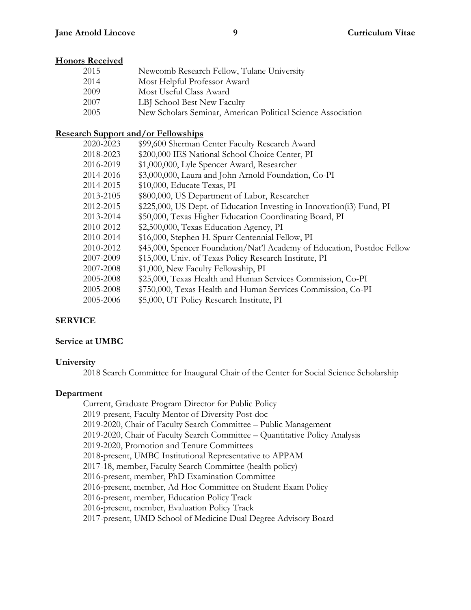## **Honors Received**

| 2015 | Newcomb Research Fellow, Tulane University                   |
|------|--------------------------------------------------------------|
| 2014 | Most Helpful Professor Award                                 |
| 2009 | Most Useful Class Award                                      |
| 2007 | LBJ School Best New Faculty                                  |
| 2005 | New Scholars Seminar, American Political Science Association |

### **Research Support and/or Fellowships**

| 2020-2023 | \$99,600 Sherman Center Faculty Research Award                          |
|-----------|-------------------------------------------------------------------------|
| 2018-2023 | \$200,000 IES National School Choice Center, PI                         |
| 2016-2019 | \$1,000,000, Lyle Spencer Award, Researcher                             |
| 2014-2016 | \$3,000,000, Laura and John Arnold Foundation, Co-PI                    |
| 2014-2015 | \$10,000, Educate Texas, PI                                             |
| 2013-2105 | \$800,000, US Department of Labor, Researcher                           |
| 2012-2015 | \$225,000, US Dept. of Education Investing in Innovation(i3) Fund, PI   |
| 2013-2014 | \$50,000, Texas Higher Education Coordinating Board, PI                 |
| 2010-2012 | \$2,500,000, Texas Education Agency, PI                                 |
| 2010-2014 | \$16,000, Stephen H. Spurr Centennial Fellow, PI                        |
| 2010-2012 | \$45,000, Spencer Foundation/Nat'l Academy of Education, Postdoc Fellow |
| 2007-2009 | \$15,000, Univ. of Texas Policy Research Institute, PI                  |
| 2007-2008 | \$1,000, New Faculty Fellowship, PI                                     |
| 2005-2008 | \$25,000, Texas Health and Human Services Commission, Co-PI             |
| 2005-2008 | \$750,000, Texas Health and Human Services Commission, Co-PI            |
| 2005-2006 | \$5,000, UT Policy Research Institute, PI                               |
|           |                                                                         |

### **SERVICE**

### **Service at UMBC**

### **University**

2018 Search Committee for Inaugural Chair of the Center for Social Science Scholarship

### **Department**

Current, Graduate Program Director for Public Policy 2019-present, Faculty Mentor of Diversity Post-doc 2019-2020, Chair of Faculty Search Committee – Public Management 2019-2020, Chair of Faculty Search Committee – Quantitative Policy Analysis 2019-2020, Promotion and Tenure Committees 2018-present, UMBC Institutional Representative to APPAM 2017-18, member, Faculty Search Committee (health policy) 2016-present, member, PhD Examination Committee 2016-present, member, Ad Hoc Committee on Student Exam Policy 2016-present, member, Education Policy Track 2016-present, member, Evaluation Policy Track 2017-present, UMD School of Medicine Dual Degree Advisory Board